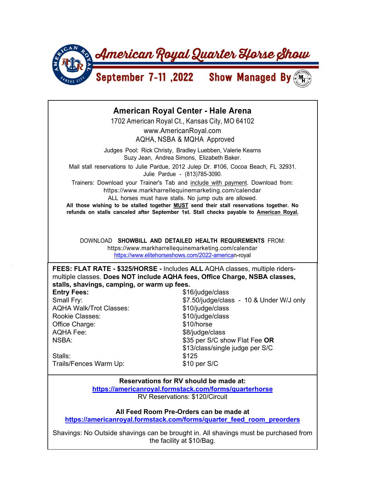

## **American Royal Center - Hale Arena**  1702 American Royal Ct., Kansas City, MO 64102 www.AmericanRoyal.com AQHA, NSBA & MQHA Approved Judges Pool: Rick Christy, Bradley Luebben, Valerie Kearns Suzy Jean, Andrea Simons, Elizabeth Baker. Mail stall reservations to Julie Pardue, 2012 Julep Dr. #106, Cocoa Beach, FL 32931. Julie Pardue - (813)785-3090. Trainers: Download your Trainer's Tab and include with payment. Download from: https://www.markharrellequinemarketing.com/calendar ALL horses must have stalls. No jump outs are allowed. **All those wishing to be stalled together MUST send their stall reservations together. No refunds on stalls canceled after September 1st. Stall checks payable to American Royal.** DOWNLOAD **SHOWBILL AND DETAILED HEALTH REQUIREMENTS** FROM: https://www.markharrellequinemarketing.com/calendar https://www.elitehorseshows.com/2022-american-royal **FEES: FLAT RATE - \$325/HORSE -** Includes **ALL** AQHA classes, multiple ridersmultiple classes. **Does NOT include AQHA fees, Office Charge, NSBA classes, stalls, shavings, camping, or warm up fees. Entry Fees:**  $$16/judge/class$ Small Fry: Small Fry:  $$7.50$ /judge/class - 10 & Under W/J only AQHA Walk/Trot Classes: \$10/judge/class Rookie Classes:  $$10/judge/class$ Office Charge:  $$10/horse$ AQHA Fee:  $\frac{1}{2}$  S8/judge/class NSBA: \$35 per S/C show Flat Fee **OR** \$13/class/single judge per S/C Stalls: \$125 Trails/Fences Warm Up: \$10 per S/C

**Reservations for RV should be made at: https://americanroyal.formstack.com/forms/quarterhorse** RV Reservations: \$120/Circuit

**All Feed Room Pre-Orders can be made at** 

**https://americanroyal.formstack.com/forms/quarter\_feed\_room\_preorders**

Shavings: No Outside shavings can be brought in. All shavings must be purchased from the facility at \$10/Bag.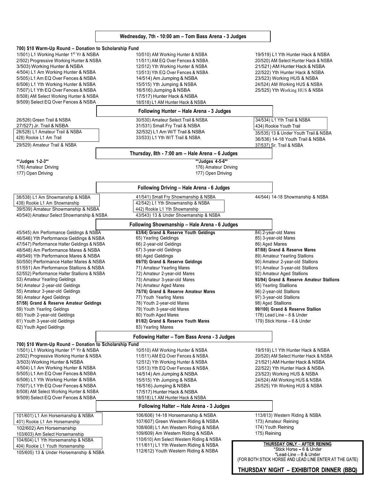## **Wednesday, 7th - 10:00 am – Tom Bass Arena - 3 Judges**

| 700) \$10 Warm-Up Round – Donation to Scholarship Fund                                                       |                                                 |                                                        |
|--------------------------------------------------------------------------------------------------------------|-------------------------------------------------|--------------------------------------------------------|
| 1/501) L1 Working Hunter 1 <sup>st</sup> Yr & NSBA                                                           | 10/510) AM Working Hunter & NSBA                | 19/519) L1 Yth Hunter Hack & NSBA                      |
| 2/502) Progressive Working Hunter & NSBA                                                                     | 11/511) AM EQ Over Fences & NSBA                | 20/520) AM Select Hunter Hack & NSBA                   |
| 3/503) Working Hunter & NSBA                                                                                 | 12/512) Yth Working Hunter & NSBA               | 21/521) AM Hunter Hack & NSBA                          |
| 4/504) L1 Am Working Hunter & NSBA                                                                           | 13/513) Yth EQ Over Fences & NSBA               | 22/522) Yth Hunter Hack & NSBA                         |
| 5/505) L1 Am EQ Over Fences & NSBA                                                                           | 14/514) Am Jumping & NSBA                       | 23/523) Working HUS & NSBA                             |
| 6/506) L1 Yth Working Hunter & NSBA                                                                          | 15/515) Yth Jumping & NSBA                      | 24/524) AM Working HUS & NSBA                          |
| 7/507) L1 Yth EQ Over Fences & NSBA                                                                          | 16/516) Jumping & NSBA                          | 25/525) Yth Working HUS & NSBA                         |
| 8/508) AM Select Working Hunter & NSBA                                                                       | 17/517) Hunter Hack & NSBA                      |                                                        |
| 9/509) Select EQ Over Fences & NSBA                                                                          | 18/518) L1 AM Hunter Hack & NSBA                |                                                        |
|                                                                                                              | Following Hunter - Hale Arena - 3 Judges        |                                                        |
| 26/526) Green Trail & NSBA                                                                                   | 30/530) Amateur Select Trail & NSBA             | 34/534) L1 Yth Trail & NSBA                            |
| 27/527) Jr. Trail & NSBA                                                                                     | 31/531) Small Fry Trail & NSBA                  | 434) Rookie Youth Trail                                |
| 28/528) L1 Amateur Trail & NSBA                                                                              | 32/532) L1 Am W/T Trail & NSBA                  |                                                        |
| 428) Rookie L1 Am Trail                                                                                      | 33/533) L1 Yth W/T Trail & NSBA                 | 35/535) 13 & Under Youth Trail & NSBA                  |
|                                                                                                              |                                                 | 36/536) 14-18 Youth Trail & NSBA                       |
| 29/529) Amateur Trail & NSBA                                                                                 | Thursday, 8th - 7:00 am - Hale Arena - 6 Judges | 37/537) Sr. Trail & NSBA                               |
| **Judges 1-2-3**                                                                                             | **Judges 4-5-6**                                |                                                        |
| 176) Amateur Driving                                                                                         | 176) Amateur Driving                            |                                                        |
| 177) Open Driving                                                                                            | 177) Open Driving                               |                                                        |
|                                                                                                              |                                                 |                                                        |
|                                                                                                              | Following Driving - Hale Arena - 6 Judges       |                                                        |
| 38/538) L1 Am Showmanship & NSBA                                                                             | 41/541) Small Fry Showmanship & NSBA            | 44/544) 14-18 Showmanship & NSBA                       |
| 438) Rookie L1 Am Showmanship                                                                                | 42/542) L1 Yth Showmanship & NSBA               |                                                        |
| 39/539) Amateur Showmanship & NSBA                                                                           | 442) Rookie L1 Yth Showmanship                  |                                                        |
| 40/540) Amateur Select Showmanship & NSBA                                                                    | 43/543) 13 & Under Showmanship & NSBA           |                                                        |
|                                                                                                              |                                                 |                                                        |
|                                                                                                              | Following Showmanship - Hale Arena - 6 Judges   |                                                        |
| 45/545) Am Performance Geldings & NSBA                                                                       | 63/64) Grand & Reserve Youth Geldings           | 84) 2-year-old Mares                                   |
| 46/546) Yth Performance Geldings & NSBA                                                                      | 65) Yearling Geldings                           | 85) 3-year-old Mares                                   |
| 47/547) Performance Halter Geldings & NSBA                                                                   | 66) 2-year-old Geldings                         | 86) Aged Mares                                         |
| 48/548) Am Performance Mares & NSBA                                                                          | 67) 3-year-old Geldings                         | 87/88) Grand & Reserve Mares                           |
| 49/549) Yth Performance Mares & NSBA                                                                         | 68) Aged Geldings                               | 89) Amateur Yearling Stallions                         |
| 50/550) Performance Halter Mares & NSBA                                                                      | 69/70) Grand & Reserve Geldings                 | 90) Amateur 2-year-old Stallions                       |
| 51/551) Am Performance Stallions & NSBA                                                                      | 71) Amateur Yearling Mares                      | 91) Amateur 3-year-old Stallions                       |
| 52/552) Performance Halter Stallions & NSBA                                                                  | 72) Amateur 2-year-old Mares                    | 92) Amateur Aged Stallions                             |
| 53) Amateur Yearling Geldings                                                                                | 73) Amateur 3-year-old Mares                    | 93/94) Grand & Reserve Amateur Stallions               |
| 54) Amateur 2-year-old Geldings                                                                              | 74) Amateur Aged Mares                          | 95) Yearling Stallions                                 |
| 55) Amateur 3-year-old Geldings                                                                              | 75/76) Grand & Reserve Amateur Mares            | 96) 2-year-old Stallions                               |
| 56) Amateur Aged Geldings                                                                                    | 77) Youth Yearling Mares                        | 97) 3-year-old Stallions                               |
| 57/58) Grand & Reserve Amateur Geldings                                                                      | 78) Youth 2-year-old Mares                      | 98) Aged Stallions                                     |
| 59) Youth Yearling Geldings                                                                                  | 79) Youth 3-year-old Mares                      | 99/100) Grand & Reserve Stallion                       |
| 60) Youth 2-year-old Geldings                                                                                | 80) Youth Aged Mares                            | 178) Lead Line - 8 & Under                             |
| 61) Youth 3-year-old Geldings                                                                                | 81/82) Grand & Reserve Youth Mares              | 179) Stick Horse - 6 & Under                           |
| 62) Youth Aged Geldings                                                                                      | 83) Yearling Mares                              |                                                        |
|                                                                                                              | Following Halter - Tom Bass Arena - 3 Judges    |                                                        |
|                                                                                                              |                                                 |                                                        |
| 700) \$10 Warm-Up Round - Donation to Scholarship Fund<br>1/501) L1 Working Hunter 1 <sup>st</sup> Yr & NSBA | 10/510) AM Working Hunter & NSBA                | 19/519) L1 Yth Hunter Hack & NSBA                      |
| 2/502) Progressive Working Hunter & NSBA                                                                     | 11/511) AM EQ Over Fences & NSBA                | 20/520) AM Select Hunter Hack & NSBA                   |
| 3/503) Working Hunter & NSBA                                                                                 | 12/512) Yth Working Hunter & NSBA               | 21/521) AM Hunter Hack & NSBA                          |
| 4/504) L1 Am Working Hunter & NSBA                                                                           | 13/513) Yth EQ Over Fences & NSBA               | 22/522) Yth Hunter Hack & NSBA                         |
| 5/505) L1 Am EQ Over Fences & NSBA                                                                           |                                                 |                                                        |
| 6/506) L1 Yth Working Hunter & NSBA                                                                          | 14/514) Am Jumping & NSBA                       | 23/523) Working HUS & NSBA                             |
| 7/507) L1 Yth EQ Over Fences & NSBA                                                                          | 15/515) Yth Jumping & NSBA                      | 24/524) AM Working HUS & NSBA                          |
|                                                                                                              | 16/516) Jumping & NSBA                          | 25/525) Yth Working HUS & NSBA                         |
| 8/508) AM Select Working Hunter & NSBA                                                                       | 17/517) Hunter Hack & NSBA                      |                                                        |
| 9/509) Select EQ Over Fences & NSBA                                                                          | 18/518) L1 AM Hunter Hack & NSBA                |                                                        |
|                                                                                                              | Following Halter - Hale Arena - 3 Judges        |                                                        |
| 101/601) L1 Am Horsemanship & NSBA                                                                           | 106/606) 14-18 Horsemanship & NSBA              | 113/613) Western Riding & NSBA                         |
| 401) Rookie L1 Am Horsemanship                                                                               | 107/607) Green Western Riding & NSBA            | 173) Amateur Reining                                   |
| 102/602) Am Horsemanship                                                                                     | 108/608) L1 Am Western Riding & NSBA            | 174) Youth Reining                                     |
| 103/603) Am Select Horsemanship                                                                              | 109/609) Am Western Riding & NSBA               | 175) Reining                                           |
| 104/604) L1 Yth Horsemanship & NSBA                                                                          | 110/610) Am Select Western Riding & NSBA        |                                                        |
| 404) Rookie L1 Youth Horsemanship                                                                            | 111/611) L1 Yth Western Riding & NSBA           | <b>THURSDAY ONLY - AFTER REINING</b>                   |
| 105/605) 13 & Under Horsemanship & NSBA                                                                      | 112/612) Youth Western Riding & NSBA            | *Stick Horse - 6 & Under<br>*Lead-Line - 8 & Under     |
|                                                                                                              |                                                 | (FOR BOTH STICK HORSE AND LEAD LINE ENTER AT THE GATE) |
|                                                                                                              |                                                 |                                                        |

THURSDAY NIGHT - EXHIBITOR DINNER (BBQ)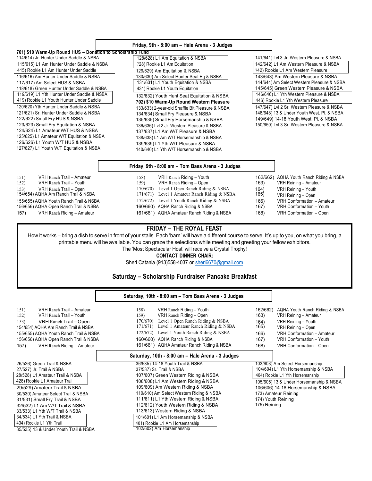|                                                                                                                   | Friday, 9th - 8:00 am - Hale Arena - 3 Judges                                                                                                         |      |                                            |  |  |  |
|-------------------------------------------------------------------------------------------------------------------|-------------------------------------------------------------------------------------------------------------------------------------------------------|------|--------------------------------------------|--|--|--|
| 701) \$10 Warm-Up Round HUS - Donation to Scholarship Fund                                                        |                                                                                                                                                       |      |                                            |  |  |  |
| 114/614) Jr. Hunter Under Saddle & NSBA                                                                           | 128/628) L1 Am Equitation & NSBA                                                                                                                      |      | 141/641) Lvl 3 Jr. Western Pleasure & NSBA |  |  |  |
| 115/615) L1 Am Hunter Under Saddle & NSBA                                                                         | 728) Rookie L1 Am Equitation                                                                                                                          |      | 142/642) L1 Am Western Pleasure & NSBA     |  |  |  |
| 415) Rookie L1 Am Hunter Under Saddle                                                                             | 129/629) Am Equitation & NSBA                                                                                                                         |      | 742) Rookie L1 Am Western Pleasure         |  |  |  |
| 116/616) Am Hunter Under Saddle & NSBA                                                                            | 130/630) Am Select Hunter Seat Eq & NSBA                                                                                                              |      | 143/643) Am Western Pleasure & NSBA        |  |  |  |
| 117/617) Am Select HUS & NSBA                                                                                     | 131/631) L1 Youth Equitation & NSBA                                                                                                                   |      | 144/644) Am Select Western Pleasure & NSBA |  |  |  |
| 118/618) Green Hunter Under Saddle & NSBA                                                                         | 431) Rookie L1 Youth Equitation                                                                                                                       |      | 145/645) Green Western Pleasure & NSBA     |  |  |  |
| 119/619) L1 Yth Hunter Under Saddle & NSBA                                                                        | 132/632) Youth Hunt Seat Equitation & NSBA                                                                                                            |      | 146/646) L1 Yth Western Pleasure & NSBA    |  |  |  |
| 419) Rookie L1 Youth Hunter Under Saddle                                                                          | 702) \$10 Warm-Up Round Western Pleasure                                                                                                              |      | 446) Rookie L1 Yth Western Pleasure        |  |  |  |
| 120/620) Yth Hunter Under Saddle & NSBA                                                                           | 133/633) 2-year-old Snaffle Bit Pleasure & NSBA                                                                                                       |      | 147/647) Lvl 2 Sr. Western Pleasure & NSBA |  |  |  |
| 121/621) Sr. Hunter Under Saddle & NSBA                                                                           | 134/634) Small Fry Pleasure & NSBA                                                                                                                    |      | 148/648) 13 & Under Youth West. Pl. & NSBA |  |  |  |
| 122/622) Small Fry HUS & NSBA                                                                                     | 135/635) Small Fry Horsemanship & NSBA                                                                                                                |      | 149/649) 14-18 Youth West. Pl. & NSBA      |  |  |  |
| 123/623) Small Fry Equitation & NSBA                                                                              | 136/636) Lvl 2 Jr. Western Pleasure & NSBA                                                                                                            |      | 150/650) Lvl 3 Sr. Western Pleasure & NSBA |  |  |  |
| 124/624) L1 Amateur W/T HUS & NSBA                                                                                | 137/637) L1 Am W/T Pleasure & NSBA                                                                                                                    |      |                                            |  |  |  |
| 125/625) L1 Amateur W/T Equitation & NSBA                                                                         | 138/638) L1 Am W/T Horsemanship & NSBA                                                                                                                |      |                                            |  |  |  |
| 126/626) L1 Youth W/T HUS & NSBA                                                                                  | 139/639) L1 Yth W/T Pleasure & NSBA                                                                                                                   |      |                                            |  |  |  |
| 127/627) L1 Youth W/T Equitation & NSBA                                                                           | 140/640) L1 Yth W/T Horsemanship & NSBA                                                                                                               |      |                                            |  |  |  |
|                                                                                                                   |                                                                                                                                                       |      |                                            |  |  |  |
|                                                                                                                   | Friday, 9th - 8:00 am - Tom Bass Arena - 3 Judges                                                                                                     |      |                                            |  |  |  |
| VRH Ranch Trail - Amateur<br>151)                                                                                 | 158)<br>VRH Ranch Riding - Youth                                                                                                                      |      | 162/662) AQHA Youth Ranch Riding & NSBA    |  |  |  |
| VRH Ranch Trail - Youth<br>152)                                                                                   | 159)<br>VRH Ranch Riding - Open                                                                                                                       | 163) | VRH Reining - Amateur                      |  |  |  |
| VRH Ranch Trail - Open<br>153)                                                                                    | 170/670) Level 1 Open Ranch Riding & NSBA                                                                                                             | 164) | VRH Reining - Youth                        |  |  |  |
| 154/654) AQHA Am Ranch Trail & NSBA                                                                               | 171/671) Level 1 Amateur Ranch Riding & NSBA                                                                                                          | 165) | VRH Reining - Open                         |  |  |  |
| 155/655) AQHA Youth Ranch Trail & NSBA                                                                            | 172/672) Level 1 Youth Ranch Riding & NSBA                                                                                                            | 166) | VRH Conformation - Amateur                 |  |  |  |
| 156/656) AQHA Open Ranch Trail & NSBA                                                                             | 160/660) AQHA Ranch Riding & NSBA                                                                                                                     | 167) | VRH Conformation - Youth                   |  |  |  |
| 157)<br>VRH Ranch Riding - Amateur                                                                                | 161/661) AQHA Amateur Ranch Riding & NSBA                                                                                                             | 168) | VRH Conformation - Open                    |  |  |  |
|                                                                                                                   | <b>FRIDAY - THE ROYAL FEAST</b>                                                                                                                       |      |                                            |  |  |  |
|                                                                                                                   |                                                                                                                                                       |      |                                            |  |  |  |
|                                                                                                                   | How it works – bring a dish to serve in front of your stalls. Each 'barn' will have a different course to serve. It's up to you, on what you bring, a |      |                                            |  |  |  |
| printable menu will be available. You can graze the selections while meeting and greeting your fellow exhibitors. |                                                                                                                                                       |      |                                            |  |  |  |
| The 'Most Spectacular Host' will receive a Crystal Trophy!                                                        |                                                                                                                                                       |      |                                            |  |  |  |
| <b>CONTACT DINNER CHAIR:</b>                                                                                      |                                                                                                                                                       |      |                                            |  |  |  |
|                                                                                                                   | Sheri Catania (913)558-4037 or sheri6670@gmail.com                                                                                                    |      |                                            |  |  |  |
|                                                                                                                   |                                                                                                                                                       |      |                                            |  |  |  |
| Saturday – Scholarship Fundraiser Pancake Breakfast                                                               |                                                                                                                                                       |      |                                            |  |  |  |
|                                                                                                                   | Saturday, 10th - 8:00 am - Tom Bass Arena - 3 Judges                                                                                                  |      |                                            |  |  |  |
|                                                                                                                   |                                                                                                                                                       |      |                                            |  |  |  |
| 151)<br>VRH Ranch Trail - Amateur                                                                                 | VRH Ranch Riding - Youth<br>158)                                                                                                                      |      | 162/662) AQHA Youth Ranch Riding & NSBA    |  |  |  |

| VRH Ranch Trail - Youth<br>152)        | VRH Ranch Riding - Open<br>159)                  | 163)               | VRH Reining - Amateur                   |
|----------------------------------------|--------------------------------------------------|--------------------|-----------------------------------------|
| VRH Ranch Trail - Open<br>153)         | Level 1 Open Ranch Riding & NSBA<br>170/670)     | 164)               | VRH Reining - Youth                     |
| 154/654) AQHA Am Ranch Trail & NSBA    | Level 1 Amateur Ranch Riding & NSBA<br>171/671)  | 165)               | VRH Reining - Open                      |
| 155/655) AQHA Youth Ranch Trail & NSBA | 172/672) Level 1 Youth Ranch Riding & NSBA       | 166)               | VRH Conformation - Amateur              |
| 156/656) AQHA Open Ranch Trail & NSBA  | 160/660) AQHA Ranch Riding & NSBA                | 167)               | VRH Conformation - Youth                |
| VRH Ranch Riding - Amateur<br>157)     | 161/661) AQHA Amateur Ranch Riding & NSBA        | 168)               | VRH Conformation - Open                 |
|                                        | Saturday, 10th - 8:00 am - Hale Arena - 3 Judges |                    |                                         |
| 26/526) Green Trail & NSBA             | 36/535) 14-18 Youth Trail & NSBA                 |                    | 103/603) Am Select Horsemanship         |
| 27/527) Jr. Trail & NSBA               | 37/537) Sr. Trail & NSBA                         |                    | 104/604) L1 Yth Horsemanship & NSBA     |
| 28/528) L1 Amateur Trail & NSBA        | 107/607) Green Western Riding & NSBA             |                    | 404) Rookie L1 Yth Horsemanship         |
| 428) Rookie L1 Amateur Trail           | 108/608) L1 Am Western Riding & NSBA             |                    | 105/605) 13 & Under Horsemanship & NSBA |
| 29/529) Amateur Trail & NSBA           | 109/609) Am Western Riding & NSBA                |                    | 106/606) 14-18 Horsemanship & NSBA      |
| 30/530) Amateur Select Trail & NSBA    | 110/610) Am Select Western Riding & NSBA         |                    | 173) Amateur Reining                    |
| 31/531) Small Fry Trail & NSBA         | 111/611) L1 Yth Western Riding & NSBA            | 174) Youth Reining |                                         |
| 32/532) L1 Am W/T Trail & NSBA         | 112/612) Youth Western Riding & NSBA             | 175) Reining       |                                         |
| 33/533) L1 Yth W/T Trail & NSBA        | 113/613) Western Riding & NSBA                   |                    |                                         |
| 34/534) L1 Yth Trail & NSBA            | 101/601) L1 Am Horsemanship & NSBA               |                    |                                         |
| 434) Rookie L1 Yth Trail               | 401) Rookie L1 Am Horsemanship                   |                    |                                         |
| 35/535) 13 & Under Youth Trail & NSBA  | 102/602) Am Horsemanship                         |                    |                                         |